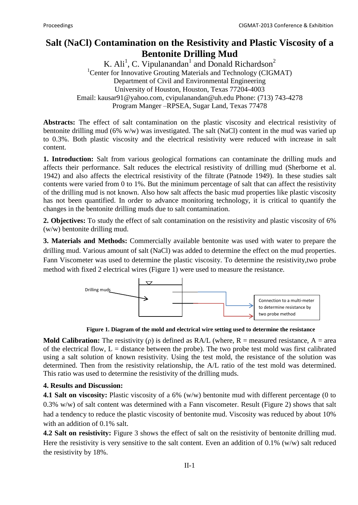## **Salt (NaCl) Contamination on the Resistivity and Plastic Viscosity of a Bentonite Drilling Mud**

K. Ali<sup>1</sup>, C. Vipulanandan<sup>1</sup> and Donald Richardson<sup>2</sup> <sup>1</sup>Center for Innovative Grouting Materials and Technology (CIGMAT) Department of Civil and Environmental Engineering University of Houston, Houston, Texas 77204-4003 Email: kausar91@yahoo.com, cvipulanandan@uh.edu Phone: (713) 743-4278 Program Manger –RPSEA, Sugar Land, Texas 77478

**Abstracts:** The effect of salt contamination on the plastic viscosity and electrical resistivity of bentonite drilling mud (6% w/w) was investigated. The salt (NaCl) content in the mud was varied up to 0.3%. Both plastic viscosity and the electrical resistivity were reduced with increase in salt content.

**1. Introduction:** Salt from various geological formations can contaminate the drilling muds and affects their performance. Salt reduces the electrical resistivity of drilling mud (Sherborne et al. 1942) and also affects the electrical resistivity of the filtrate (Patnode 1949). In these studies salt contents were varied from 0 to 1%. But the minimum percentage of salt that can affect the resistivity of the drilling mud is not known. Also how salt affects the basic mud properties like plastic viscosity has not been quantified. In order to advance monitoring technology, it is critical to quantify the changes in the bentonite drilling muds due to salt contamination.

**2. Objectives:** To study the effect of salt contamination on the resistivity and plastic viscosity of 6% (w/w) bentonite drilling mud.

**3. Materials and Methods:** Commercially available bentonite was used with water to prepare the drilling mud. Various amount of salt (NaCl) was added to determine the effect on the mud properties. Fann Viscometer was used to determine the plastic viscosity. To determine the resistivity,two probe method with fixed 2 electrical wires (Figure 1) were used to measure the resistance.



**Figure 1. Diagram of the mold and electrical wire setting used to determine the resistance**

**Mold Calibration:** The resistivity  $(\rho)$  is defined as RA/L (where, R = measured resistance, A = area of the electrical flow,  $L =$  distance between the probe). The two probe test mold was first calibrated using a salt solution of known resistivity. Using the test mold, the resistance of the solution was determined. Then from the resistivity relationship, the A/L ratio of the test mold was determined. This ratio was used to determine the resistivity of the drilling muds.

## **4. Results and Discussion:**

**4.1 Salt on viscosity:** Plastic viscosity of a 6% (w/w) bentonite mud with different percentage (0 to 0.3% w/w) of salt content was determined with a Fann viscometer. Result (Figure 2) shows that salt had a tendency to reduce the plastic viscosity of bentonite mud. Viscosity was reduced by about 10% with an addition of 0.1% salt.

**4.2 Salt on resistivity:** Figure 3 shows the effect of salt on the resistivity of bentonite drilling mud. Here the resistivity is very sensitive to the salt content. Even an addition of  $0.1\%$  (w/w) salt reduced the resistivity by 18%.